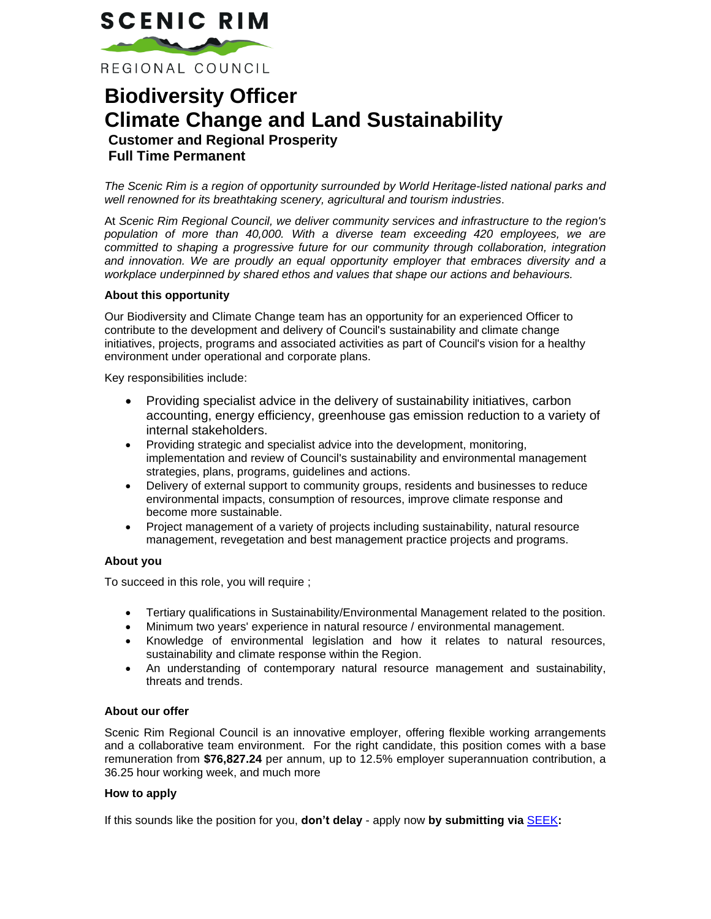# **SCENIC RIM**

REGIONAL COUNCIL

## **Biodiversity Officer Climate Change and Land Sustainability Customer and Regional Prosperity Full Time Permanent**

*The Scenic Rim is a region of opportunity surrounded by World Heritage-listed national parks and well renowned for its breathtaking scenery, agricultural and tourism industries*.

At *Scenic Rim Regional Council, we deliver community services and infrastructure to the region's population of more than 40,000. With a diverse team exceeding 420 employees, we are committed to shaping a progressive future for our community through collaboration, integration and innovation. We are proudly an equal opportunity employer that embraces diversity and a workplace underpinned by shared ethos and values that shape our actions and behaviours.*

#### **About this opportunity**

Our Biodiversity and Climate Change team has an opportunity for an experienced Officer to contribute to the development and delivery of Council's sustainability and climate change initiatives, projects, programs and associated activities as part of Council's vision for a healthy environment under operational and corporate plans.

Key responsibilities include:

- Providing specialist advice in the delivery of sustainability initiatives, carbon accounting, energy efficiency, greenhouse gas emission reduction to a variety of internal stakeholders.
- Providing strategic and specialist advice into the development, monitoring, implementation and review of Council's sustainability and environmental management strategies, plans, programs, guidelines and actions.
- Delivery of external support to community groups, residents and businesses to reduce environmental impacts, consumption of resources, improve climate response and become more sustainable.
- Project management of a variety of projects including sustainability, natural resource management, revegetation and best management practice projects and programs.

#### **About you**

To succeed in this role, you will require ;

- Tertiary qualifications in Sustainability/Environmental Management related to the position.
- Minimum two years' experience in natural resource / environmental management.
- Knowledge of environmental legislation and how it relates to natural resources, sustainability and climate response within the Region.
- An understanding of contemporary natural resource management and sustainability, threats and trends.

#### **About our offer**

Scenic Rim Regional Council is an innovative employer, offering flexible working arrangements and a collaborative team environment. For the right candidate, this position comes with a base remuneration from **\$76,827.24** per annum, up to 12.5% employer superannuation contribution, a 36.25 hour working week, and much more

#### **How to apply**

If this sounds like the position for you, **don't delay** - apply now **by submitting via** [SEEK](https://www.seek.com.au/job/50124885?_ga=2.57998383.489799368.1592776082-211670504.1585302383)**:**